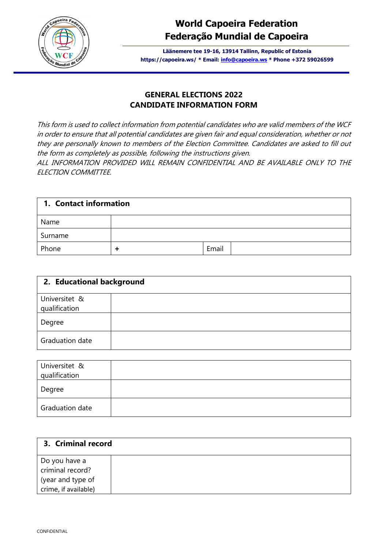

# **World Capoeira Federation Federação Mundial de Capoeira**

**Läänemere tee 19-16, 13914 Tallinn, Republic of Estonia https://capoeira.ws/ \* Email: [info@capoeira.ws](mailto:info@capoeira.ws) \* Phone +372 59026599**

#### **GENERAL ELECTIONS 2022 CANDIDATE INFORMATION FORM**

This form is used to collect information from potential candidates who are valid members of the WCF in order to ensure that all potential candidates are given fair and equal consideration, whether or not they are personally known to members of the Election Committee. Candidates are asked to fill out the form as completely as possible, following the instructions given.

ALL INFORMATION PROVIDED WILL REMAIN CONFIDENTIAL AND BE AVAILABLE ONLY TO THE ELECTION COMMITTEE.

| 1. Contact information |  |       |  |
|------------------------|--|-------|--|
| Name                   |  |       |  |
| Surname                |  |       |  |
| Phone                  |  | Email |  |

| 2. Educational background |  |
|---------------------------|--|
| Universitet &             |  |
| qualification             |  |
| Degree                    |  |
| Graduation date           |  |

| Universitet &<br>qualification |  |
|--------------------------------|--|
| Degree                         |  |
| <b>Graduation date</b>         |  |

| 3. Criminal record                |  |
|-----------------------------------|--|
| Do you have a<br>criminal record? |  |
| (year and type of                 |  |
| crime, if available)              |  |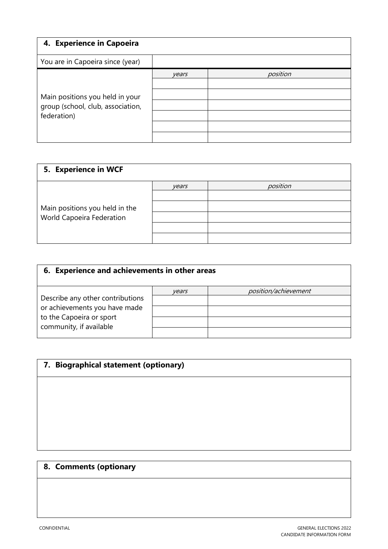| 4. Experience in Capoeira                                                           |       |          |
|-------------------------------------------------------------------------------------|-------|----------|
| You are in Capoeira since (year)                                                    |       |          |
| Main positions you held in your<br>group (school, club, association,<br>federation) | vears | position |
|                                                                                     |       |          |

| 5. Experience in WCF           |       |          |  |
|--------------------------------|-------|----------|--|
|                                | years | position |  |
|                                |       |          |  |
| Main positions you held in the |       |          |  |
| World Capoeira Federation      |       |          |  |
|                                |       |          |  |
|                                |       |          |  |

| 6. Experience and achievements in other areas                                                                            |       |                      |
|--------------------------------------------------------------------------------------------------------------------------|-------|----------------------|
| Describe any other contributions<br>or achievements you have made<br>to the Capoeira or sport<br>community, if available | vears | position/achievement |

| 7. Biographical statement (optionary) |  |  |
|---------------------------------------|--|--|
|                                       |  |  |
|                                       |  |  |
|                                       |  |  |
|                                       |  |  |
|                                       |  |  |

## **8. Comments (optionary**